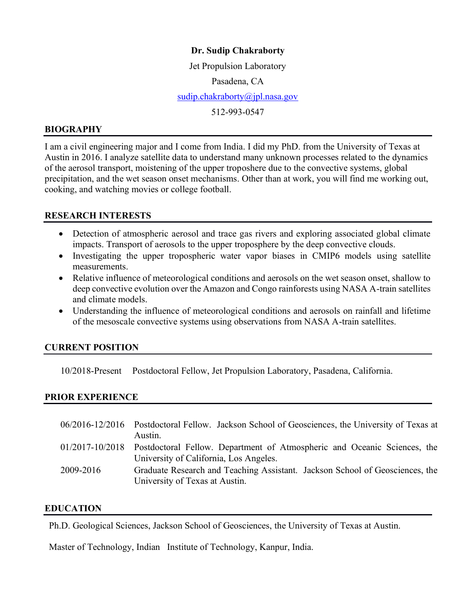## **Dr. Sudip Chakraborty**

Jet Propulsion Laboratory Pasadena, CA [sudip.chakraborty@jpl.nasa.gov](mailto:sudipm@ucla.edu) 512-993-0547

#### **BIOGRAPHY**

I am a civil engineering major and I come from India. I did my PhD. from the University of Texas at Austin in 2016. I analyze satellite data to understand many unknown processes related to the dynamics of the aerosol transport, moistening of the upper troposhere due to the convective systems, global precipitation, and the wet season onset mechanisms. Other than at work, you will find me working out, cooking, and watching movies or college football.

#### **RESEARCH INTERESTS**

- Detection of atmospheric aerosol and trace gas rivers and exploring associated global climate impacts. Transport of aerosols to the upper troposphere by the deep convective clouds.
- Investigating the upper tropospheric water vapor biases in CMIP6 models using satellite measurements.
- Relative influence of meteorological conditions and aerosols on the wet season onset, shallow to deep convective evolution over the Amazon and Congo rainforests using NASA A-train satellites and climate models.
- Understanding the influence of meteorological conditions and aerosols on rainfall and lifetime of the mesoscale convective systems using observations from NASA A-train satellites.

## **CURRENT POSITION**

10/2018-Present Postdoctoral Fellow, Jet Propulsion Laboratory, Pasadena, California.

#### **PRIOR EXPERIENCE**

|           | 06/2016-12/2016 Postdoctoral Fellow. Jackson School of Geosciences, the University of Texas at                 |
|-----------|----------------------------------------------------------------------------------------------------------------|
|           | Austin.                                                                                                        |
|           | 01/2017-10/2018 Postdoctoral Fellow. Department of Atmospheric and Oceanic Sciences, the                       |
|           | University of California, Los Angeles.                                                                         |
| 2009-2016 | Graduate Research and Teaching Assistant. Jackson School of Geosciences, the<br>University of Texas at Austin. |

#### **EDUCATION**

Ph.D. Geological Sciences, Jackson School of Geosciences, the University of Texas at Austin.

Master of Technology, Indian Institute of Technology, Kanpur, India.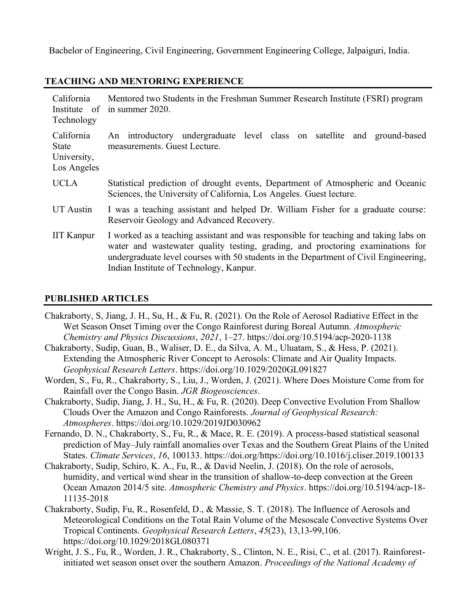Bachelor of Engineering, Civil Engineering, Government Engineering College, Jalpaiguri, India.

#### **TEACHING AND MENTORING EXPERIENCE**

| California<br>Institute of<br>Technology          | Mentored two Students in the Freshman Summer Research Institute (FSRI) program<br>in summer 2020.                                                                                                                                                                                                         |
|---------------------------------------------------|-----------------------------------------------------------------------------------------------------------------------------------------------------------------------------------------------------------------------------------------------------------------------------------------------------------|
| California<br>State<br>University,<br>Los Angeles | An introductory undergraduate level class on satellite and ground-based<br>measurements. Guest Lecture.                                                                                                                                                                                                   |
| <b>UCLA</b>                                       | Statistical prediction of drought events, Department of Atmospheric and Oceanic<br>Sciences, the University of California, Los Angeles. Guest lecture.                                                                                                                                                    |
| UT Austin                                         | I was a teaching assistant and helped Dr. William Fisher for a graduate course:<br>Reservoir Geology and Advanced Recovery.                                                                                                                                                                               |
| <b>IIT Kanpur</b>                                 | I worked as a teaching assistant and was responsible for teaching and taking labs on<br>water and wastewater quality testing, grading, and proctoring examinations for<br>undergraduate level courses with 50 students in the Department of Civil Engineering,<br>Indian Institute of Technology, Kanpur. |

## **PUBLISHED ARTICLES**

- Chakraborty, S, Jiang, J. H., Su, H., & Fu, R. (2021). On the Role of Aerosol Radiative Effect in the Wet Season Onset Timing over the Congo Rainforest during Boreal Autumn. *Atmospheric Chemistry and Physics Discussions*, *2021*, 1–27. https://doi.org/10.5194/acp-2020-1138
- Chakraborty, Sudip, Guan, B., Waliser, D. E., da Silva, A. M., Uluatam, S., & Hess, P. (2021). Extending the Atmospheric River Concept to Aerosols: Climate and Air Quality Impacts. *Geophysical Research Letters*. https://doi.org/10.1029/2020GL091827
- Worden, S., Fu, R., Chakraborty, S., Liu, J., Worden, J. (2021). Where Does Moisture Come from for Rainfall over the Congo Basin. *JGR Biogeosciences*.
- Chakraborty, Sudip, Jiang, J. H., Su, H., & Fu, R. (2020). Deep Convective Evolution From Shallow Clouds Over the Amazon and Congo Rainforests. *Journal of Geophysical Research: Atmospheres*. https://doi.org/10.1029/2019JD030962
- Fernando, D. N., Chakraborty, S., Fu, R., & Mace, R. E. (2019). A process-based statistical seasonal prediction of May–July rainfall anomalies over Texas and the Southern Great Plains of the United States. *Climate Services*, *16*, 100133. https://doi.org/https://doi.org/10.1016/j.cliser.2019.100133
- Chakraborty, Sudip, Schiro, K. A., Fu, R., & David Neelin, J. (2018). On the role of aerosols, humidity, and vertical wind shear in the transition of shallow-to-deep convection at the Green Ocean Amazon 2014/5 site. *Atmospheric Chemistry and Physics*. https://doi.org/10.5194/acp-18- 11135-2018
- Chakraborty, Sudip, Fu, R., Rosenfeld, D., & Massie, S. T. (2018). The Influence of Aerosols and Meteorological Conditions on the Total Rain Volume of the Mesoscale Convective Systems Over Tropical Continents. *Geophysical Research Letters*, *45*(23), 13,13-99,106. https://doi.org/10.1029/2018GL080371
- Wright, J. S., Fu, R., Worden, J. R., Chakraborty, S., Clinton, N. E., Risi, C., et al. (2017). Rainforestinitiated wet season onset over the southern Amazon. *Proceedings of the National Academy of*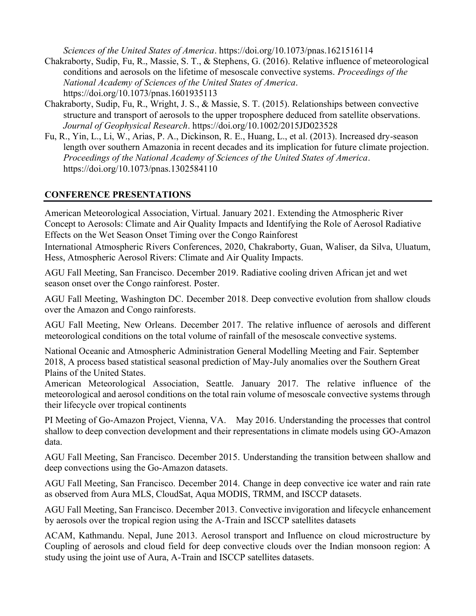*Sciences of the United States of America*. https://doi.org/10.1073/pnas.1621516114

- Chakraborty, Sudip, Fu, R., Massie, S. T., & Stephens, G. (2016). Relative influence of meteorological conditions and aerosols on the lifetime of mesoscale convective systems. *Proceedings of the National Academy of Sciences of the United States of America*. https://doi.org/10.1073/pnas.1601935113
- Chakraborty, Sudip, Fu, R., Wright, J. S., & Massie, S. T. (2015). Relationships between convective structure and transport of aerosols to the upper troposphere deduced from satellite observations. *Journal of Geophysical Research*. https://doi.org/10.1002/2015JD023528
- Fu, R., Yin, L., Li, W., Arias, P. A., Dickinson, R. E., Huang, L., et al. (2013). Increased dry-season length over southern Amazonia in recent decades and its implication for future climate projection. *Proceedings of the National Academy of Sciences of the United States of America*. https://doi.org/10.1073/pnas.1302584110

## **CONFERENCE PRESENTATIONS**

American Meteorological Association, Virtual. January 2021. Extending the Atmospheric River Concept to Aerosols: Climate and Air Quality Impacts and Identifying the Role of Aerosol Radiative Effects on the Wet Season Onset Timing over the Congo Rainforest International Atmospheric Rivers Conferences, 2020, Chakraborty, Guan, Waliser, da Silva, Uluatum, Hess, Atmospheric Aerosol Rivers: Climate and Air Quality Impacts.

AGU Fall Meeting, San Francisco. December 2019. Radiative cooling driven African jet and wet season onset over the Congo rainforest. Poster.

AGU Fall Meeting, Washington DC. December 2018. Deep convective evolution from shallow clouds over the Amazon and Congo rainforests.

AGU Fall Meeting, New Orleans. December 2017. The relative influence of aerosols and different meteorological conditions on the total volume of rainfall of the mesoscale convective systems.

National Oceanic and Atmospheric Administration General Modelling Meeting and Fair. September 2018, A process based statistical seasonal prediction of May-July anomalies over the Southern Great Plains of the United States.

American Meteorological Association, Seattle. January 2017. The relative influence of the meteorological and aerosol conditions on the total rain volume of mesoscale convective systems through their lifecycle over tropical continents

PI Meeting of Go-Amazon Project, Vienna, VA. May 2016. Understanding the processes that control shallow to deep convection development and their representations in climate models using GO-Amazon data.

AGU Fall Meeting, San Francisco. December 2015. Understanding the transition between shallow and deep convections using the Go-Amazon datasets.

AGU Fall Meeting, San Francisco. December 2014. Change in deep convective ice water and rain rate as observed from Aura MLS, CloudSat, Aqua MODIS, TRMM, and ISCCP datasets.

AGU Fall Meeting, San Francisco. December 2013. Convective invigoration and lifecycle enhancement by aerosols over the tropical region using the A-Train and ISCCP satellites datasets

ACAM, Kathmandu. Nepal, June 2013. Aerosol transport and Influence on cloud microstructure by Coupling of aerosols and cloud field for deep convective clouds over the Indian monsoon region: A study using the joint use of Aura, A-Train and ISCCP satellites datasets.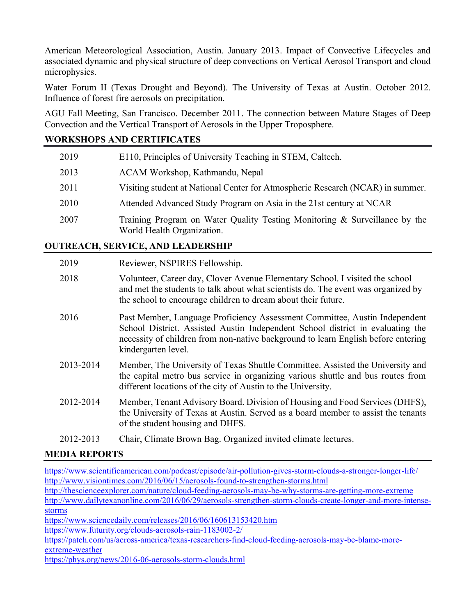American Meteorological Association, Austin. January 2013. Impact of Convective Lifecycles and associated dynamic and physical structure of deep convections on Vertical Aerosol Transport and cloud microphysics.

Water Forum II (Texas Drought and Beyond). The University of Texas at Austin. October 2012. Influence of forest fire aerosols on precipitation.

AGU Fall Meeting, San Francisco. December 2011. The connection between Mature Stages of Deep Convection and the Vertical Transport of Aerosols in the Upper Troposphere.

## **WORKSHOPS AND CERTIFICATES**

| 2019 | E110, Principles of University Teaching in STEM, Caltech.                                                |
|------|----------------------------------------------------------------------------------------------------------|
| 2013 | ACAM Workshop, Kathmandu, Nepal                                                                          |
| 2011 | Visiting student at National Center for Atmospheric Research (NCAR) in summer.                           |
| 2010 | Attended Advanced Study Program on Asia in the 21st century at NCAR                                      |
| 2007 | Training Program on Water Quality Testing Monitoring & Surveillance by the<br>World Health Organization. |

# **OUTREACH, SERVICE, AND LEADERSHIP**

| 2019      | Reviewer, NSPIRES Fellowship.                                                                                                                                                                                                                                            |
|-----------|--------------------------------------------------------------------------------------------------------------------------------------------------------------------------------------------------------------------------------------------------------------------------|
| 2018      | Volunteer, Career day, Clover Avenue Elementary School. I visited the school<br>and met the students to talk about what scientists do. The event was organized by<br>the school to encourage children to dream about their future.                                       |
| 2016      | Past Member, Language Proficiency Assessment Committee, Austin Independent<br>School District. Assisted Austin Independent School district in evaluating the<br>necessity of children from non-native background to learn English before entering<br>kindergarten level. |
| 2013-2014 | Member, The University of Texas Shuttle Committee. Assisted the University and<br>the capital metro bus service in organizing various shuttle and bus routes from<br>different locations of the city of Austin to the University.                                        |
| 2012-2014 | Member, Tenant Advisory Board. Division of Housing and Food Services (DHFS),<br>the University of Texas at Austin. Served as a board member to assist the tenants<br>of the student housing and DHFS.                                                                    |
|           | $\sim$ 1. $\sim$ $\sim$ $\sim$ $\sim$ 1.                                                                                                                                                                                                                                 |

#### 2012-2013 Chair, Climate Brown Bag. Organized invited climate lectures.

## **MEDIA REPORTS**

<https://www.scientificamerican.com/podcast/episode/air-pollution-gives-storm-clouds-a-stronger-longer-life/> <http://www.visiontimes.com/2016/06/15/aerosols-found-to-strengthen-storms.html>

<http://thescienceexplorer.com/nature/cloud-feeding-aerosols-may-be-why-storms-are-getting-more-extreme> [http://www.dailytexanonline.com/2016/06/29/aerosols-strengthen-storm-clouds-create-longer-and-more-intense](http://www.dailytexanonline.com/2016/06/29/aerosols-strengthen-storm-clouds-create-longer-and-more-intense-storms)[storms](http://www.dailytexanonline.com/2016/06/29/aerosols-strengthen-storm-clouds-create-longer-and-more-intense-storms)

<https://www.sciencedaily.com/releases/2016/06/160613153420.htm>

<https://www.futurity.org/clouds-aerosols-rain-1183002-2/>

[https://patch.com/us/across-america/texas-researchers-find-cloud-feeding-aerosols-may-be-blame-more](https://patch.com/us/across-america/texas-researchers-find-cloud-feeding-aerosols-may-be-blame-more-extreme-weather)[extreme-weather](https://patch.com/us/across-america/texas-researchers-find-cloud-feeding-aerosols-may-be-blame-more-extreme-weather)

<https://phys.org/news/2016-06-aerosols-storm-clouds.html>